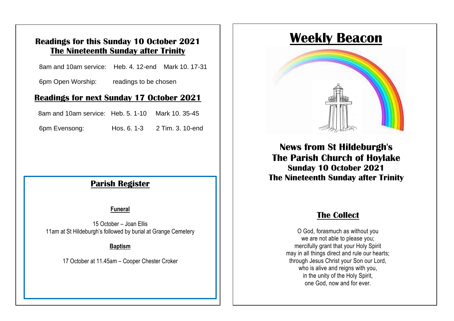## **Readings for this Sunday 10 October 2021 The Nineteenth Sunday after Trinity**

8am and 10am service: Heb. 4. 12-end Mark 10. 17-31

6pm Open Worship: readings to be chosen

### **Readings for next Sunday 17 October 2021**

8am and 10am service: Heb. 5. 1-10 Mark 10. 35-45

Opin Evensong. Trus. 0. 1-3  $\pm$  1 mm, 6pm Evensong: Hos. 6. 1-3 2 Tim. 3. 10-end

#### The service is also available to view on our website **Parish Register**

#### **Funeral**

15 October – Joan Ellis 11am at St Hildeburgh's followed by burial at Grange Cemetery

#### **Baptism**

17 October at 11.45am – Cooper Chester Croker

## **Weekly Beacon**



**News from St Hildeburgh's The Parish Church of Hoylake Sunday 10 October 2021 The Nineteenth Sunday after Trinity**

## **The Collect**

O God, forasmuch as without you we are not able to please you; mercifully grant that your Holy Spirit may in all things direct and rule our hearts; through Jesus Christ your Son our Lord, who is alive and reigns with you, in the unity of the Holy Spirit, one God, now and for ever.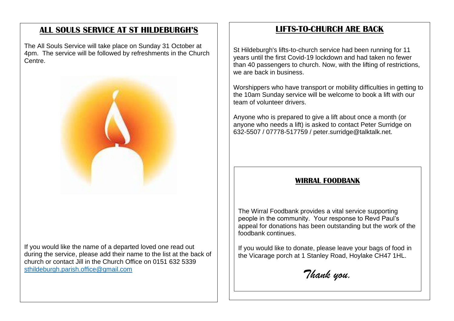## **ALL SOULS SERVICE AT ST HILDEBURGH'S**

The All Souls Service will take place on Sunday 31 October at 4pm. The service will be followed by refreshments in the Church Centre.



If you would like the name of a departed loved one read out during the service, please add their name to the list at the back of church or contact Jill in the Church Office on 0151 632 5339 [sthildeburgh.parish.office@gmail.com](mailto:sthildeburgh.parish.office@gmail.com)

## **LIFTS-TO-CHURCH ARE BACK**

St Hildeburgh's lifts-to-church service had been running for 11 years until the first Covid-19 lockdown and had taken no fewer than 40 passengers to church. Now, with the lifting of restrictions, we are back in business.

Worshippers who have transport or mobility difficulties in getting to the 10am Sunday service will be welcome to book a lift with our team of volunteer drivers.

Anyone who is prepared to give a lift about once a month (or anyone who needs a lift) is asked to contact Peter Surridge on 632-5507 / 07778-517759 / peter.surridge@talktalk.net.

#### **WIRRAL FOODBANK**

The Wirral Foodbank provides a vital service supporting people in the community. Your response to Revd Paul's appeal for donations has been outstanding but the work of the foodbank continues.

If you would like to donate, please leave your bags of food in the Vicarage porch at 1 Stanley Road, Hoylake CH47 1HL.

*Thank you.*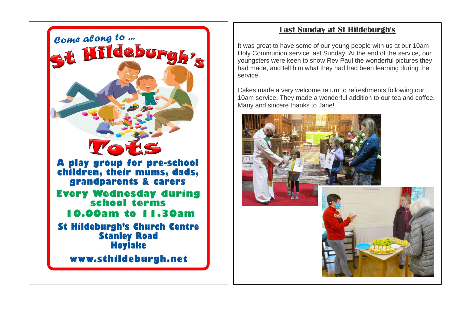

## **Last Sunday at St Hildeburgh's**

It was great to have some of our young people with us at our 10am Holy Communion service last Sunday. At the end of the service, our youngsters were keen to show Rev Paul the wonderful pictures they had made, and tell him what they had had been learning during the service.

Cakes made a very welcome return to refreshments following our 10am service. They made a wonderful addition to our tea and coffee. Many and sincere thanks to Jane!

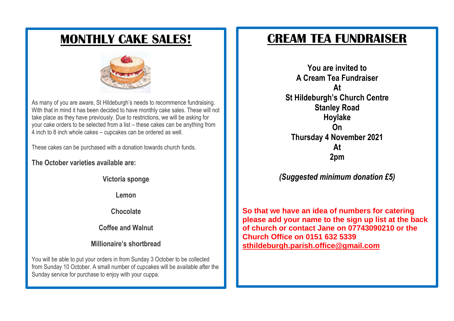## **MONTHLY CAKE SALES!**



As many of you are aware, St Hildeburgh's needs to recommence fundraising. With that in mind it has been decided to have monthly cake sales. These will not take place as they have previously. Due to restrictions, we will be asking for your cake orders to be selected from a list – these cakes can be anything from 4 inch to 8 inch whole cakes – cupcakes can be ordered as well.

These cakes can be purchased with a donation towards church funds.

**The October varieties available are:**

**Victoria sponge**

**Lemon**

**Chocolate**

**Coffee and Walnut**

**Millionaire's shortbread**

You will be able to put your orders in from Sunday 3 October to be collected from Sunday 10 October. A small number of cupcakes will be available after the Sunday service for purchase to enjoy with your cuppa.

## **CREAM TEA FUNDRAISER**

**You are invited to A Cream Tea Fundraiser At St Hildeburgh's Church Centre Stanley Road Hoylake On Thursday 4 November 2021 At 2pm**

*(Suggested minimum donation £5)*

**So that we have an idea of numbers for catering please add your name to the sign up list at the back of church or contact Jane on 07743090210 or the Church Office on 0151 632 5339 [sthildeburgh.parish.office@gmail.com](mailto:sthildeburgh.parish.office@gmail.com)**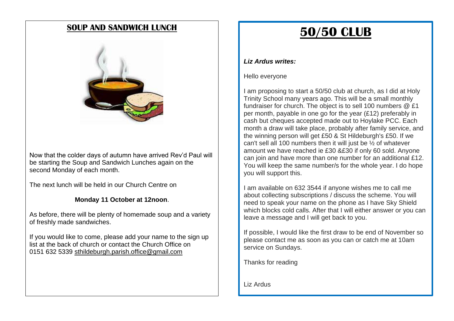## **SOUP AND SANDWICH LUNCH**



Now that the colder days of autumn have arrived Rev'd Paul will be starting the Soup and Sandwich Lunches again on the second Monday of each month.

The next lunch will be held in our Church Centre on

#### **Monday 11 October at 12noon**.

As before, there will be plenty of homemade soup and a variety of freshly made sandwiches.

If you would like to come, please add your name to the sign up list at the back of church or contact the Church Office on 0151 632 5339 [sthildeburgh.parish.office@gmail.com](mailto:sthildeburgh.parish.office@gmail.com)

# **50/50 CLUB**

#### *Liz Ardus writes:*

Hello everyone

I am proposing to start a 50/50 club at church, as I did at Holy Trinity School many years ago. This will be a small monthly fundraiser for church. The object is to sell 100 numbers @ £1 per month, payable in one go for the year (£12) preferably in cash but cheques accepted made out to Hoylake PCC. Each month a draw will take place, probably after family service, and the winning person will get £50 & St Hildeburgh's £50. If we can't sell all 100 numbers then it will just be ½ of whatever amount we have reached ie £30 &£30 if only 60 sold. Anyone can join and have more than one number for an additional £12. You will keep the same number/s for the whole year. I do hope you will support this.

I am available on 632 3544 if anyone wishes me to call me about collecting subscriptions / discuss the scheme. You will need to speak your name on the phone as I have Sky Shield which blocks cold calls. After that I will either answer or you can leave a message and I will get back to you.

If possible, I would like the first draw to be end of November so please contact me as soon as you can or catch me at 10am service on Sundays.

Thanks for reading

Liz Ardus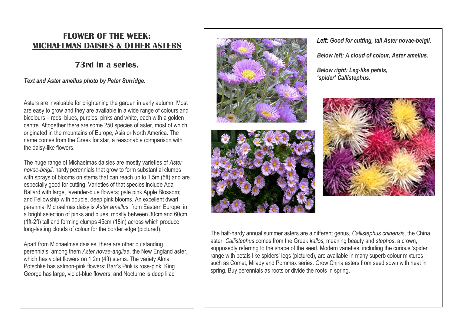## **FLOWER OF THE WEEK: MICHAELMAS DAISIES & OTHER ASTERS**

## **73rd in a series.**

#### *Text and Aster amellus photo by Peter Surridge.*

Asters are invaluable for brightening the garden in early autumn. Most are easy to grow and they are available in a wide range of colours and bicolours – reds, blues, purples, pinks and white, each with a golden centre. Altogether there are some 250 species of aster, most of which originated in the mountains of Europe, Asia or North America. The name comes from the Greek for star, a reasonable comparison with the daisy-like flowers.

The huge range of Michaelmas daisies are mostly varieties of *Aster novae-belgii*, hardy perennials that grow to form substantial clumps with sprays of blooms on stems that can reach up to 1.5m (5ft) and are especially good for cutting. Varieties of that species include Ada Ballard with large, lavender-blue flowers; pale pink Apple Blossom; and Fellowship with double, deep pink blooms. An excellent dwarf perennial Michaelmas daisy is *Aster amellus*, from Eastern Europe, in a bright selection of pinks and blues, mostly between 30cm and 60cm (1ft-2ft) tall and forming clumps 45cm (18in) across which produce long-lasting clouds of colour for the border edge (pictured).

Apart from Michaelmas daisies, there are other outstanding perennials, among them *Aster novae-angliae*, the New England aster, which has violet flowers on 1.2m (4ft) stems. The variety Alma Potschke has salmon-pink flowers; Barr's Pink is rose-pink; King George has large, violet-blue flowers; and Nocturne is deep lilac.





The half-hardy annual summer asters are a different genus, *Callistephus chinensis*, the China aster. *Callistephus* comes from the Greek *kallos,* meaning beauty and *stephos*, a crown, supposedly referring to the shape of the seed. Modern varieties, including the curious 'spider' range with petals like spiders' legs (pictured), are available in many superb colour mixtures such as Comet, Milady and Pommax series. Grow China asters from seed sown with heat in spring. Buy perennials as roots or divide the roots in spring.

*Left: Good for cutting, tall Aster novae-belgii.*

*Below left: A cloud of colour, Aster amellus.*

*Below right: Leg-like petals, 'spider' Callistephus.*